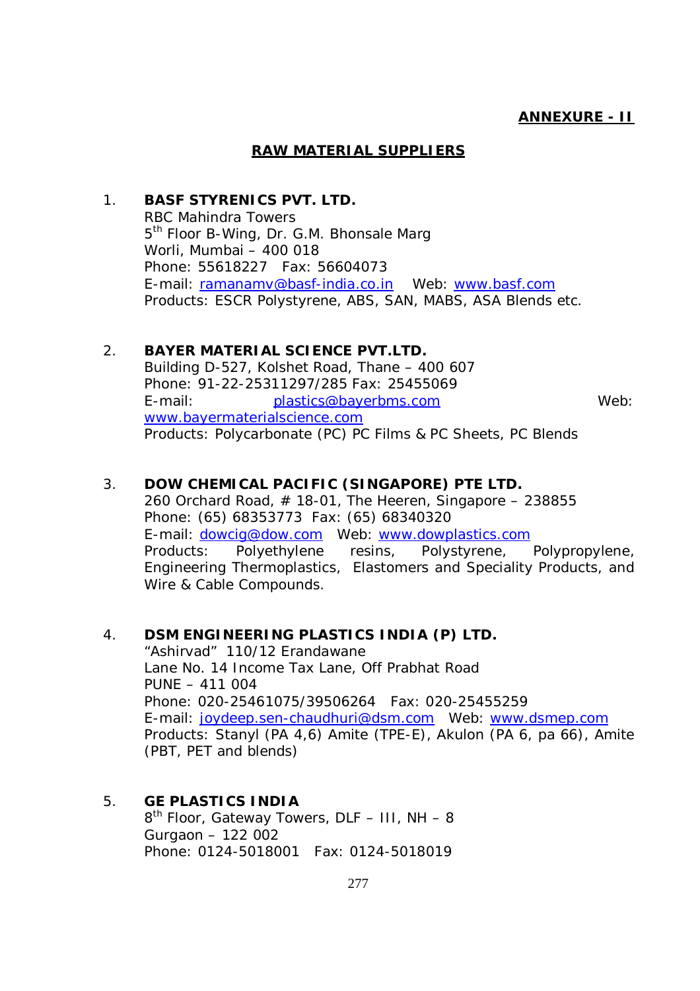#### **RAW MATERIAL SUPPLIERS**

### 1. **BASF STYRENICS PVT. LTD.** RBC Mahindra Towers 5<sup>th</sup> Floor B-Wing, Dr. G.M. Bhonsale Marg Worli, Mumbai – 400 018 Phone: 55618227 Fax: 56604073 E-mail: ramanamv@basf-india.co.in Web: www.basf.com Products: ESCR Polystyrene, ABS, SAN, MABS, ASA Blends etc.

#### 2. **BAYER MATERIAL SCIENCE PVT.LTD.**

Building D-527, Kolshet Road, Thane – 400 607 Phone: 91-22-25311297/285 Fax: 25455069 E-mail: plastics@bayerbms.com Web: www.bayermaterialscience.com Products: Polycarbonate (PC) PC Films & PC Sheets, PC Blends

### 3. **DOW CHEMICAL PACIFIC (SINGAPORE) PTE LTD.**

260 Orchard Road,  $#$  18-01, The Heeren, Singapore – 238855 Phone: (65) 68353773 Fax: (65) 68340320 E-mail: dowcig@dow.com Web: www.dowplastics.com Products: Polyethylene resins, Polystyrene, Polypropylene, Engineering Thermoplastics, Elastomers and Speciality Products, and Wire & Cable Compounds.

### 4. **DSM ENGINEERING PLASTICS INDIA (P) LTD.**

"Ashirvad" 110/12 Erandawane Lane No. 14 Income Tax Lane, Off Prabhat Road PUNE – 411 004 Phone: 020-25461075/39506264 Fax: 020-25455259 E-mail: joydeep.sen-chaudhuri@dsm.com Web: www.dsmep.com Products: Stanyl (PA 4,6) Amite (TPE-E), Akulon (PA 6, pa 66), Amite (PBT, PET and blends)

5. **GE PLASTICS INDIA** 8<sup>th</sup> Floor, Gateway Towers, DLF - III, NH - 8 Gurgaon – 122 002 Phone: 0124-5018001 Fax: 0124-5018019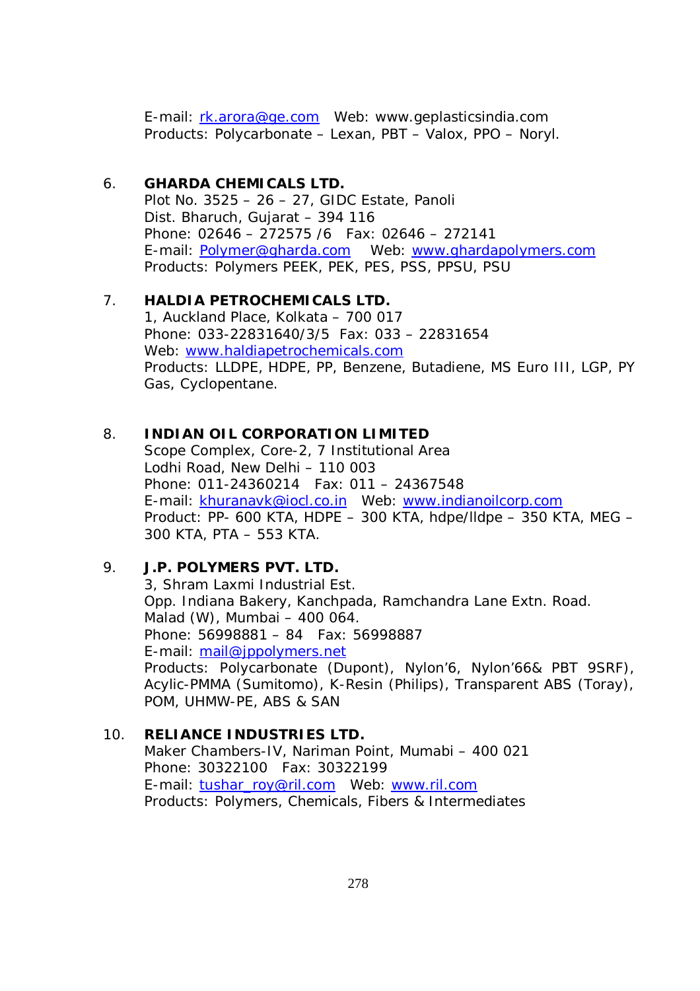E-mail: rk.arora@ge.com Web: www.geplasticsindia.com Products: Polycarbonate – Lexan, PBT – Valox, PPO – Noryl.

### 6. **GHARDA CHEMICALS LTD.**

Plot No. 3525 – 26 – 27, GIDC Estate, Panoli Dist. Bharuch, Gujarat – 394 116 Phone: 02646 – 272575 /6 Fax: 02646 – 272141 E-mail: Polymer@gharda.com Web: www.ghardapolymers.com Products: Polymers PEEK, PEK, PES, PSS, PPSU, PSU

# 7. **HALDIA PETROCHEMICALS LTD.**

1, Auckland Place, Kolkata – 700 017 Phone: 033-22831640/3/5 Fax: 033 – 22831654 Web: www.haldiapetrochemicals.com Products: LLDPE, HDPE, PP, Benzene, Butadiene, MS Euro III, LGP, PY Gas, Cyclopentane.

### 8. **INDIAN OIL CORPORATION LIMITED**

Scope Complex, Core-2, 7 Institutional Area Lodhi Road, New Delhi – 110 003 Phone: 011-24360214 Fax: 011 – 24367548 E-mail: khuranavk@iocl.co.in Web: www.indianoilcorp.com Product: PP- 600 KTA, HDPE – 300 KTA, hdpe/lldpe – 350 KTA, MEG – 300 KTA, PTA – 553 KTA.

# 9. **J.P. POLYMERS PVT. LTD.**

3, Shram Laxmi Industrial Est. Opp. Indiana Bakery, Kanchpada, Ramchandra Lane Extn. Road. Malad (W), Mumbai – 400 064. Phone: 56998881 – 84 Fax: 56998887 E-mail: mail@jppolymers.net Products: Polycarbonate (Dupont), Nylon'6, Nylon'66& PBT 9SRF), Acylic-PMMA (Sumitomo), K-Resin (Philips), Transparent ABS (Toray), POM, UHMW-PE, ABS & SAN

# 10. **RELIANCE INDUSTRIES LTD.**

Maker Chambers-IV, Nariman Point, Mumabi – 400 021 Phone: 30322100 Fax: 30322199 E-mail: tushar\_roy@ril.com Web: www.ril.com Products: Polymers, Chemicals, Fibers & Intermediates